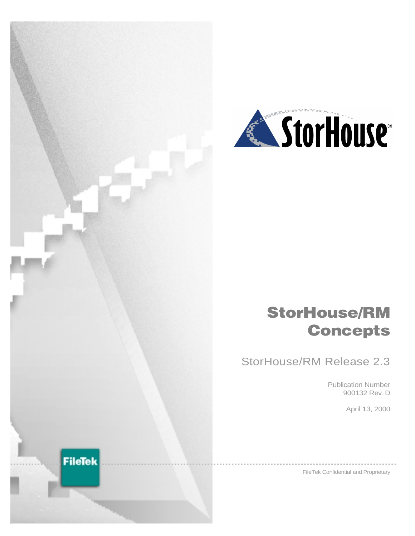



# **StorHouse/RM Concepts**

StorHouse/RM Release 2.3

Publication Number 900132 Rev. D

April 13, 2000

FileTek Confidential and Proprietary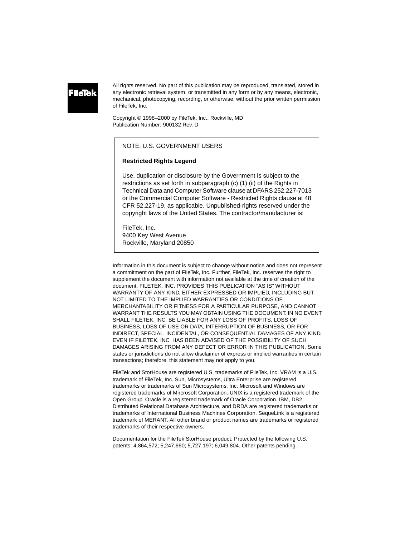All rights reserved. No part of this publication may be reproduced, translated, stored in any electronic retrieval system, or transmitted in any form or by any means, electronic, mechanical, photocopying, recording, or otherwise, without the prior written permission of FileTek, Inc.

Copyright © 1998–2000 by FileTek, Inc., Rockville, MD Publication Number: 900132 Rev. D

#### NOTE: U.S. GOVERNMENT USERS

#### **Restricted Rights Legend**

Use, duplication or disclosure by the Government is subject to the restrictions as set forth in subparagraph (c) (1) (ii) of the Rights in Technical Data and Computer Software clause at DFARS 252.227-7013 or the Commercial Computer Software - Restricted Rights clause at 48 CFR 52.227-19, as applicable. Unpublished-rights reserved under the copyright laws of the United States. The contractor/manufacturer is:

FileTek, Inc. 9400 Key West Avenue Rockville, Maryland 20850

Information in this document is subject to change without notice and does not represent a commitment on the part of FileTek, Inc. Further, FileTek, Inc. reserves the right to supplement the document with information not available at the time of creation of the document. FILETEK, INC. PROVIDES THIS PUBLICATION "AS IS" WITHOUT WARRANTY OF ANY KIND, EITHER EXPRESSED OR IMPLIED, INCLUDING BUT NOT LIMITED TO THE IMPLIED WARRANTIES OR CONDITIONS OF MERCHANTABILITY OR FITNESS FOR A PARTICULAR PURPOSE, AND CANNOT WARRANT THE RESULTS YOU MAY OBTAIN USING THE DOCUMENT. IN NO EVENT SHALL FILETEK, INC. BE LIABLE FOR ANY LOSS OF PROFITS, LOSS OF BUSINESS, LOSS OF USE OR DATA, INTERRUPTION OF BUSINESS, OR FOR INDIRECT, SPECIAL, INCIDENTAL, OR CONSEQUENTIAL DAMAGES OF ANY KIND, EVEN IF FILETEK, INC. HAS BEEN ADVISED OF THE POSSIBILITY OF SUCH DAMAGES ARISING FROM ANY DEFECT OR ERROR IN THIS PUBLICATION. Some states or jurisdictions do not allow disclaimer of express or implied warranties in certain transactions; therefore, this statement may not apply to you.

FileTek and StorHouse are registered U.S. trademarks of FileTek, Inc. VRAM is a U.S. trademark of FileTek, Inc. Sun, Microsystems, Ultra Enterprise are registered trademarks or trademarks of Sun Microsystems, Inc. Microsoft and Windows are registered trademarks of Mircrosoft Corporation. UNIX is a registered trademark of the Open Group. Oracle is a registered trademark of Oracle Corporation. IBM, DB2, Distributed Relational Database Architecture, and DRDA are registered trademarks or trademarks of International Business Machines Corporation. SequeLink is a registered trademark of MERANT. All other brand or product names are trademarks or registered trademarks of their respective owners.

Documentation for the FileTek StorHouse product. Protected by the following U.S. patents: 4,864,572; 5,247,660; 5,727,197; 6,049,804. Other patents pending.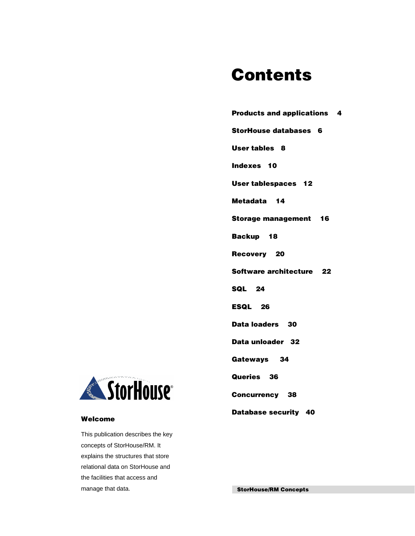# **Contents**

| <b>Products and applications 4</b> |
|------------------------------------|
| <b>StorHouse databases 6</b>       |
| <b>User tables 8</b>               |
| Indexes 10                         |
| <b>User tablespaces 12</b>         |
| Metadata 14                        |
| <b>Storage management 16</b>       |
| Backup 18                          |
| Recovery 20                        |
| Software architecture 22           |
| <b>SQL 24</b>                      |
| ESQL 26                            |
| Data loaders 30                    |
| Data unloader 32                   |
| Gateways 34                        |
| Queries 36                         |
| <b>Concurrency 38</b>              |
| Database security 40               |



### **Welcome**

This publication describes the key concepts of StorHouse/RM. It explains the structures that store relational data on StorHouse and the facilities that access and manage that data.

**StorHouse/RM Concepts**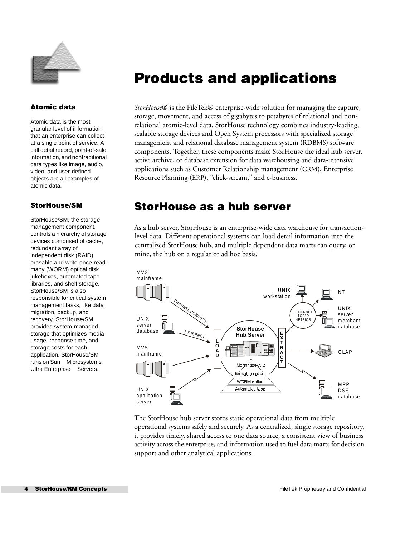

#### **Atomic data**

Atomic data is the most granular level of information that an enterprise can collect at a single point of service. A call detail record, point-of-sale information, and nontraditional data types like image, audio, video, and user-defined objects are all examples of atomic data.

### **StorHouse/SM**

StorHouse/SM, the storage management component, controls a hierarchy of storage devices comprised of cache, redundant array of independent disk (RAID), erasable and write-once-readmany (WORM) optical disk jukeboxes, automated tape libraries, and shelf storage. StorHouse/SM is also responsible for critical system management tasks, like data migration, backup, and recovery. StorHouse/SM provides system-managed storage that optimizes media usage, response time, and storage costs for each application. StorHouse/SM runs on Sun™ Microsystems™ Ultra Enterprise<sup>™</sup> Servers.

## <span id="page-3-0"></span>**Products and applications**

*StorHouse*® is the FileTek® enterprise-wide solution for managing the capture, storage, movement, and access of gigabytes to petabytes of relational and nonrelational atomic-level data. StorHouse technology combines industry-leading, scalable storage devices and Open System processors with specialized storage management and relational database management system (RDBMS) software components. Together, these components make StorHouse the ideal hub server, active archive, or database extension for data warehousing and data-intensive applications such as Customer Relationship management (CRM), Enterprise Resource Planning (ERP), "click-stream," and e-business.

### **StorHouse as a hub server**

As a hub server, StorHouse is an enterprise-wide data warehouse for transactionlevel data. Different operational systems can load detail information into the centralized StorHouse hub, and multiple dependent data marts can query, or mine, the hub on a regular or ad hoc basis.



The StorHouse hub server stores static operational data from multiple operational systems safely and securely. As a centralized, single storage repository, it provides timely, shared access to one data source, a consistent view of business activity across the enterprise, and information used to fuel data marts for decision support and other analytical applications.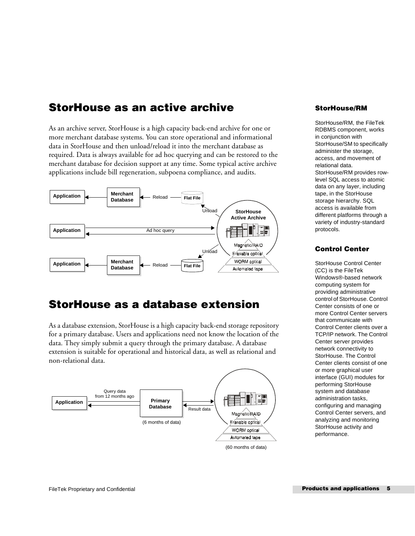### **StorHouse as an active archive**

As an archive server, StorHouse is a high capacity back-end archive for one or more merchant database systems. You can store operational and informational data in StorHouse and then unload/reload it into the merchant database as required. Data is always available for ad hoc querying and can be restored to the merchant database for decision support at any time. Some typical active archive applications include bill regeneration, subpoena compliance, and audits.



## **StorHouse as a database extension**

As a database extension, StorHouse is a high capacity back-end storage repository for a primary database. Users and applications need not know the location of the data. They simply submit a query through the primary database. A database extension is suitable for operational and historical data, as well as relational and non-relational data.



<sup>(60</sup> months of data)

### **StorHouse/RM**

StorHouse/RM, the FileTek RDBMS component, works in conjunction with StorHouse/SM to specifically administer the storage, access, and movement of relational data. StorHouse/RM provides rowlevel SQL access to atomic data on any layer, including tape, in the StorHouse storage hierarchy. SQL access is available from different platforms through a variety of industry-standard protocols.

### **Control Center**

StorHouse Control Center (CC) is the FileTek Windows®-based network computing system for providing administrative control of StorHouse. Control Center consists of one or more Control Center servers that communicate with Control Center clients over a TCP/IP network. The Control Center server provides network connectivity to StorHouse. The Control Center clients consist of one or more graphical user interface (GUI) modules for performing StorHouse system and database administration tasks, configuring and managing Control Center servers, and analyzing and monitoring StorHouse activity and performance.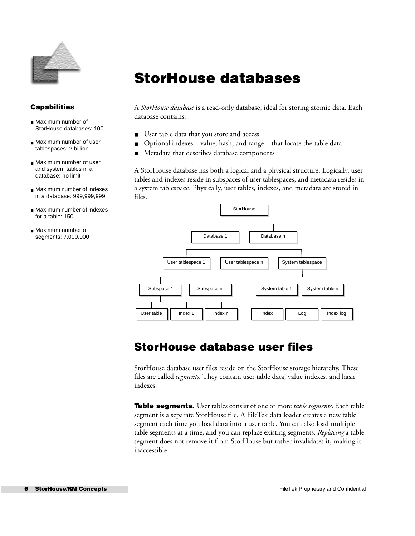

## <span id="page-5-0"></span>**StorHouse databases**

**Capabilities**

- Maximum number of StorHouse databases: 100
- Maximum number of user tablespaces: 2 billion
- Maximum number of user and system tables in a database: no limit
- Maximum number of indexes in a database: 999,999,999
- Maximum number of indexes for a table: 150
- Maximum number of

A *StorHouse database* is a read-only database, ideal for storing atomic data. Each database contains:

- User table data that you store and access
- Optional indexes—value, hash, and range—that locate the table data
- Metadata that describes database components

A StorHouse database has both a logical and a physical structure. Logically, user tables and indexes reside in subspaces of user tablespaces, and metadata resides in a system tablespace. Physically, user tables, indexes, and metadata are stored in files.



### **StorHouse database user files**

StorHouse database user files reside on the StorHouse storage hierarchy. These files are called *segments*. They contain user table data, value indexes, and hash indexes.

**Table segments.** User tables consist of one or more *table segments*. Each table segment is a separate StorHouse file. A FileTek data loader creates a new table segment each time you load data into a user table. You can also load multiple table segments at a time, and you can replace existing segments. *Replacing* a table segment does not remove it from StorHouse but rather invalidates it, making it inaccessible.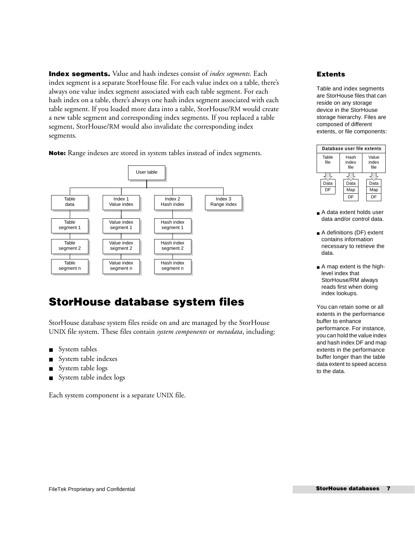**Index segments.** Value and hash indexes consist of *index segments*. Each index segment is a separate StorHouse file. For each value index on a table, there's always one value index segment associated with each table segment. For each hash index on a table, there's always one hash index segment associated with each table segment. If you loaded more data into a table, StorHouse/RM would create a new table segment and corresponding index segments. If you replaced a table segment, StorHouse/RM would also invalidate the corresponding index segments.

**Note:** Range indexes are stored in system tables instead of index segments.



## **StorHouse database system files**

StorHouse database system files reside on and are managed by the StorHouse UNIX file system. These files contain *system components* or *metadata*, including:

- System tables
- System table indexes
- System table logs
- System table index logs

Each system component is a separate UNIX file.

### **Extents**

Table and index segments are StorHouse files that can reside on any storage device in the StorHouse storage hierarchy. Files are composed of different extents, or file components:

| Database user file extents |                       |                        |  |  |  |
|----------------------------|-----------------------|------------------------|--|--|--|
| Table<br>file              | Hash<br>index<br>file | Value<br>index<br>file |  |  |  |
|                            |                       |                        |  |  |  |
| Data                       | Data                  | Data                   |  |  |  |
| DF                         | Map                   | Map                    |  |  |  |
|                            | DΕ                    |                        |  |  |  |

- A data extent holds user data and/or control data.
- A definitions (DF) extent contains information necessary to retrieve the data.
- A map extent is the highlevel index that StorHouse/RM always reads first when doing index lookups.

You can retain some or all extents in the performance buffer to enhance performance. For instance, you can hold the value index and hash index DF and map extents in the performance buffer longer than the table data extent to speed access to the data.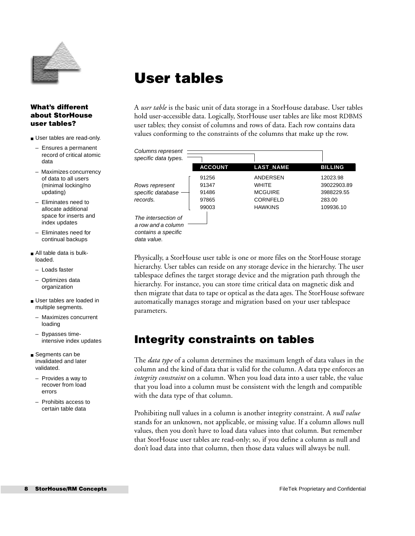

## <span id="page-7-0"></span>**User tables**

### **What's different about StorHouse user tables?**

- User tables are read-only.
- Ensures a permanent record of critical atomic data
- Maximizes concurrency of data to all users (minimal locking/no updating)
- Eliminates need to allocate additional space for inserts and index updates
- Eliminates need for continual backups
- All table data is bulkloaded.
	- Loads faster
	- Optimizes data organization
- User tables are loaded in multiple segments.
- Maximizes concurrent loading
- Bypasses timeintensive index updates
- Segments can be invalidated and later validated.
	- Provides a way to recover from load errors
	- Prohibits access to certain table data

A *user table* is the basic unit of data storage in a StorHouse database. User tables hold user-accessible data. Logically, StorHouse user tables are like most RDBMS user tables; they consist of columns and rows of data. Each row contains data values conforming to the constraints of the columns that make up the row.

| Columns represent<br>specific data types.                                       |                                           |                                                                                 |                                                              |
|---------------------------------------------------------------------------------|-------------------------------------------|---------------------------------------------------------------------------------|--------------------------------------------------------------|
|                                                                                 | <b>ACCOUNT</b>                            | <b>LAST NAME</b>                                                                | <b>BILLING</b>                                               |
| Rows represent<br>specific database<br>records.                                 | 91256<br>91347<br>91486<br>97865<br>99003 | ANDERSEN<br><b>WHITE</b><br><b>MCGUIRE</b><br><b>CORNFELD</b><br><b>HAWKINS</b> | 12023.98<br>39022903.89<br>3988229.55<br>283.00<br>109936.10 |
| The intersection of<br>a row and a column<br>contains a specific<br>data value. |                                           |                                                                                 |                                                              |

Physically, a StorHouse user table is one or more files on the StorHouse storage hierarchy. User tables can reside on any storage device in the hierarchy. The user tablespace defines the target storage device and the migration path through the hierarchy. For instance, you can store time critical data on magnetic disk and then migrate that data to tape or optical as the data ages. The StorHouse software automatically manages storage and migration based on your user tablespace parameters.

## **Integrity constraints on tables**

The *data type* of a column determines the maximum length of data values in the column and the kind of data that is valid for the column. A data type enforces an *integrity constraint* on a column. When you load data into a user table, the value that you load into a column must be consistent with the length and compatible with the data type of that column.

Prohibiting null values in a column is another integrity constraint. A *null value* stands for an unknown, not applicable, or missing value. If a column allows null values, then you don't have to load data values into that column. But remember that StorHouse user tables are read-only; so, if you define a column as null and don't load data into that column, then those data values will always be null.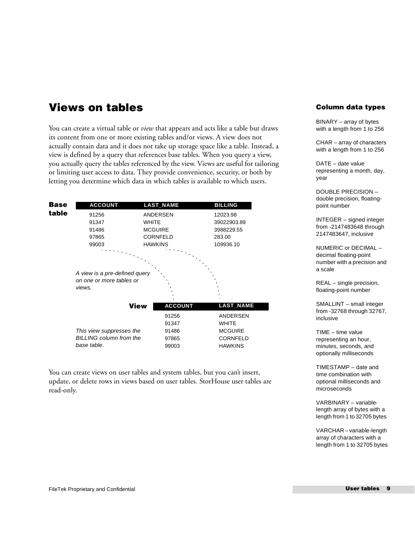### **Views on tables**

You can create a virtual table or *view* that appears and acts like a table but draws its content from one or more existing tables and/or views. A view does not actually contain data and it does not take up storage space like a table. Instead, a view is defined by a query that references base tables. When you query a view, you actually query the tables referenced by the view. Views are useful for tailoring or limiting user access to data. They provide convenience, security, or both by letting you determine which data in which tables is available to which users.

| Base<br><b>ACCOUNT</b>                                              |                 | <b>LAST_NAME</b> | <b>BILLING</b>   |
|---------------------------------------------------------------------|-----------------|------------------|------------------|
| table<br>91256                                                      | ANDERSEN        |                  | 12023.98         |
| 91347                                                               | <b>WHITE</b>    |                  | 39022903.89      |
| 91486                                                               | <b>MCGUIRE</b>  |                  | 3988229.55       |
| 97865                                                               | <b>CORNFELD</b> |                  | 283.00           |
| 99003                                                               | <b>HAWKINS</b>  |                  | 109936.10        |
| A view is a pre-defined query<br>on one or more tables or<br>views. |                 |                  |                  |
|                                                                     |                 |                  |                  |
|                                                                     | <b>View</b>     | <b>ACCOUNT</b>   | <b>LAST_NAME</b> |
|                                                                     |                 | 91256            | <b>ANDERSEN</b>  |
|                                                                     |                 | 91347            | <b>WHITE</b>     |
| This view suppresses the                                            |                 | 91486            | <b>MCGUIRE</b>   |
| <b>BILLING column from the</b><br>base table.                       |                 | 97865            | <b>CORNFELD</b>  |

You can create views on user tables and system tables, but you can't insert, update, or delete rows in views based on user tables. StorHouse user tables are read-only.

### **Column data types**

BINARY – array of bytes with a length from 1 to 256

CHAR – array of characters with a length from 1 to 256

DATE – date value representing a month, day, year

DOUBLE PRECISION – double precision, floatingpoint number

INTEGER – signed integer from -2147483648 through 2147483647, inclusive

NUMERIC or DECIMAL – decimal floating-point number with a precision and a scale

REAL – single precision, floating-point number

SMALLINT – small integer from -32768 through 32767, inclusive

TIME – time value representing an hour, minutes, seconds, and optionally milliseconds

TIMESTAMP – date and time combination with optional milliseconds and microseconds

VARBINARY – variablelength array of bytes with a length from 1 to 32705 bytes

VARCHAR – variable-length array of characters with a length from 1 to 32705 bytes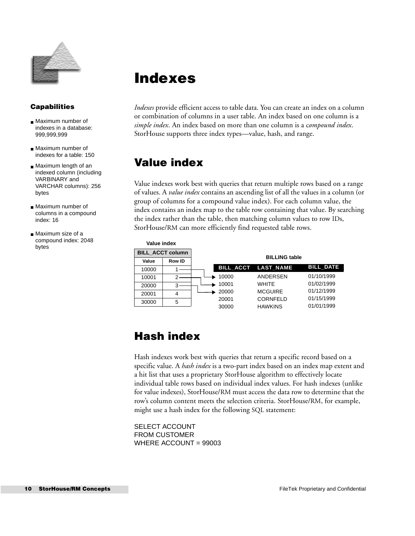

### **Capabilities**

- Maximum number of indexes in a database: 999,999,999
- Maximum number of indexes for a table: 150
- Maximum length of an indexed column (including VARBINARY and VARCHAR columns): 256 bytes
- Maximum number of columns in a compound index: 16
- Maximum size of a compound index: 2048 bytes

## <span id="page-9-0"></span>**Indexes**

*Indexes* provide efficient access to table data. You can create an index on a column or combination of columns in a user table. An index based on one column is a *simple index*. An index based on more than one column is a c*ompound index*. StorHouse supports three index types—value, hash, and range.

### **Value index**

Value indexes work best with queries that return multiple rows based on a range of values. A *value index* contains an ascending list of all the values in a column (or group of columns for a compound value index). For each column value, the index contains an index map to the table row containing that value. By searching the index rather than the table, then matching column values to row IDs, StorHouse/RM can more efficiently find requested table rows.

| Value index             |               |                  |                      |                  |
|-------------------------|---------------|------------------|----------------------|------------------|
| <b>BILL ACCT column</b> |               |                  | <b>BILLING table</b> |                  |
| Value                   | <b>Row ID</b> |                  |                      |                  |
| 10000                   |               | <b>BILL ACCT</b> | <b>LAST NAME</b>     | <b>BILL DATE</b> |
| 10001                   |               | 10000            | ANDERSEN             | 01/10/1999       |
| 20000                   | 3             | 10001            | WHITE                | 01/02/1999       |
| 20001                   | 4             | 20000            | <b>MCGUIRE</b>       | 01/12/1999       |
| 30000                   | 5             | 20001            | <b>CORNFELD</b>      | 01/15/1999       |
|                         |               | 30000            | <b>HAWKINS</b>       | 01/01/1999       |

### **Hash index**

Hash indexes work best with queries that return a specific record based on a specific value. A *hash index* is a two-part index based on an index map extent and a hit list that uses a proprietary StorHouse algorithm to effectively locate individual table rows based on individual index values. For hash indexes (unlike for value indexes), StorHouse/RM must access the data row to determine that the row's column content meets the selection criteria. StorHouse/RM, for example, might use a hash index for the following SQL statement:

SELECT ACCOUNT FROM CUSTOMER WHERE ACCOUNT = 99003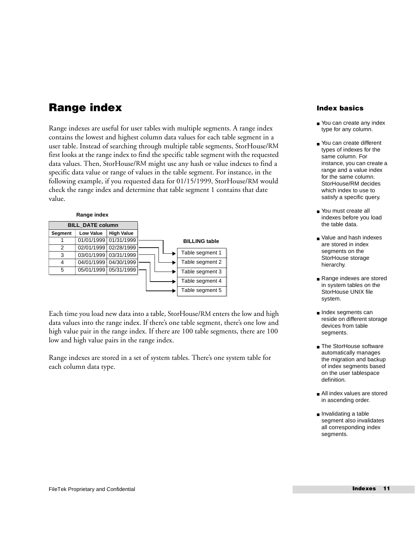## **Range index**

Range indexes are useful for user tables with multiple segments. A range index contains the lowest and highest column data values for each table segment in a user table. Instead of searching through multiple table segments, StorHouse/RM first looks at the range index to find the specific table segment with the requested data values. Then, StorHouse/RM might use any hash or value indexes to find a specific data value or range of values in the table segment. For instance, in the following example, if you requested data for 01/15/1999, StorHouse/RM would check the range index and determine that table segment 1 contains that date value.



Each time you load new data into a table, StorHouse/RM enters the low and high data values into the range index. If there's one table segment, there's one low and high value pair in the range index. If there are 100 table segments, there are 100 low and high value pairs in the range index.

Range indexes are stored in a set of system tables. There's one system table for each column data type.

### **Index basics**

- You can create any index type for any column.
- You can create different types of indexes for the same column. For instance, you can create a range and a value index for the same column. StorHouse/RM decides which index to use to satisfy a specific query.
- You must create all indexes before you load the table data.
- Value and hash indexes are stored in index segments on the StorHouse storage hierarchy.
- Range indexes are stored in system tables on the StorHouse UNIX file system.
- Index segments can reside on different storage devices from table segments.
- The StorHouse software automatically manages the migration and backup of index segments based on the user tablespace definition.
- All index values are stored in ascending order.
- Invalidating a table segment also invalidates all corresponding index segments.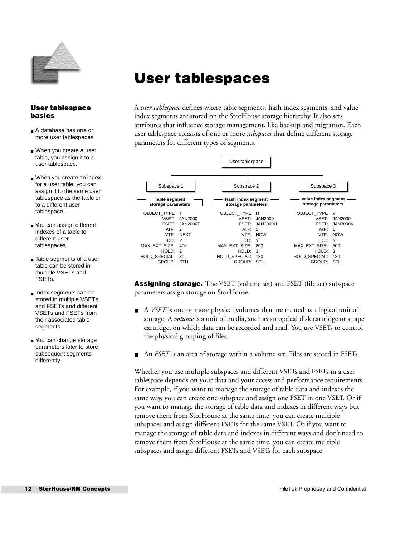

## <span id="page-11-0"></span>**User tablespaces**

### **User tablespace basics**

- A database has one or more user tablespaces.
- When you create a user table, you assign it to a user tablespace.
- When you create an index for a user table, you can assign it to the same user tablespace as the table or to a different user tablespace.
- You can assign different indexes of a table to different user tablespaces.
- Table segments of a user table can be stored in multiple VSETs and FSETs.
- Index segments can be stored in multiple VSETs and FSETs and different VSETs and FSETs from their associated table segments.
- You can change storage parameters later to store subsequent segments differently.

A *user tablespace* defines where table segments, hash index segments, and value index segments are stored on the StorHouse storage hierarchy. It also sets attributes that influence storage management, like backup and migration. Each user tablespace consists of one or more *subspaces* that define different storage parameters for different types of segments.



**Assigning storage.** The VSET (volume set) and FSET (file set) subspace parameters assign storage on StorHouse.

- A *VSET* is one or more physical volumes that are treated as a logical unit of storage. A *volume* is a unit of media, such as an optical disk cartridge or a tape cartridge, on which data can be recorded and read. You use VSETs to control the physical grouping of files.
- An *FSET* is an area of storage within a volume set. Files are stored in FSETs.

Whether you use multiple subspaces and different VSETs and FSETs in a user tablespace depends on your data and your access and performance requirements. For example, if you want to manage the storage of table data and indexes the same way, you can create one subspace and assign one FSET in one VSET. Or if you want to manage the storage of table data and indexes in different ways but remove them from StorHouse at the same time, you can create multiple subspaces and assign different FSETs for the same VSET. Or if you want to manage the storage of table data and indexes in different ways and don't need to remove them from StorHouse at the same time, you can create multiple subspaces and assign different FSETs and VSETs for each subspace.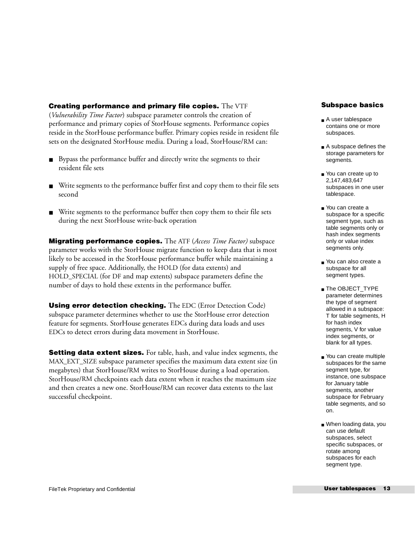### **Creating performance and primary file copies.** The VTF

(*Vulnerability Time Factor*) subspace parameter controls the creation of performance and primary copies of StorHouse segments. Performance copies reside in the StorHouse performance buffer. Primary copies reside in resident file sets on the designated StorHouse media. During a load, StorHouse/RM can:

- Bypass the performance buffer and directly write the segments to their resident file sets
- Write segments to the performance buffer first and copy them to their file sets second
- Write segments to the performance buffer then copy them to their file sets during the next StorHouse write-back operation

**Migrating performance copies.** The ATF (*Access Time Factor)* subspace parameter works with the StorHouse migrate function to keep data that is most likely to be accessed in the StorHouse performance buffer while maintaining a supply of free space. Additionally, the HOLD (for data extents) and HOLD\_SPECIAL (for DF and map extents) subspace parameters define the number of days to hold these extents in the performance buffer.

**Using error detection checking.** The EDC (Error Detection Code) subspace parameter determines whether to use the StorHouse error detection feature for segments. StorHouse generates EDCs during data loads and uses EDCs to detect errors during data movement in StorHouse.

**Setting data extent sizes.** For table, hash, and value index segments, the MAX\_EXT\_SIZE subspace parameter specifies the maximum data extent size (in megabytes) that StorHouse/RM writes to StorHouse during a load operation. StorHouse/RM checkpoints each data extent when it reaches the maximum size and then creates a new one. StorHouse/RM can recover data extents to the last successful checkpoint.

### **Subspace basics**

- A user tablespace contains one or more subspaces.
- A subspace defines the storage parameters for segments.
- You can create up to 2,147,483,647 subspaces in one user tablespace.
- You can create a subspace for a specific segment type, such as table segments only or hash index segments only or value index segments only.
- You can also create a subspace for all segment types.
- The OBJECT\_TYPE parameter determines the type of segment allowed in a subspace: T for table segments, H for hash index segments, V for value index segments, or blank for all types.
- You can create multiple subspaces for the same segment type, for instance, one subspace for January table segments, another subspace for February table segments, and so on.
- When loading data, you can use default subspaces, select specific subspaces, or rotate among subspaces for each segment type.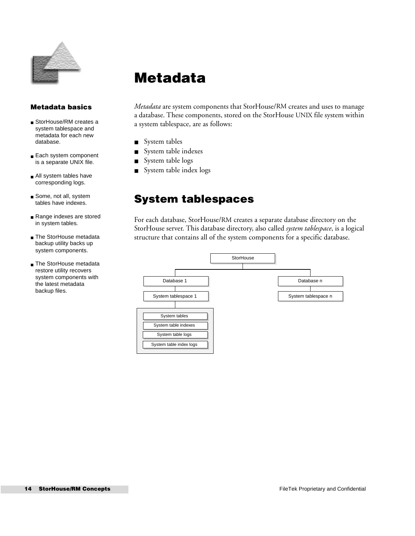

## <span id="page-13-0"></span>**Metadata**

### **Metadata basics**

- StorHouse/RM creates a system tablespace and metadata for each new database.
- Each system component is a separate UNIX file.
- All system tables have corresponding logs.
- Some, not all, system tables have indexes.
- Range indexes are stored in system tables.
- The StorHouse metadata backup utility backs up system components.
- The StorHouse metadata restore utility recovers system components with the latest metadata backup files.

*Metadata* are system components that StorHouse/RM creates and uses to manage a database. These components, stored on the StorHouse UNIX file system within a system tablespace, are as follows:

- System tables
- System table indexes
- System table logs
- System table index logs

### **System tablespaces**

For each database, StorHouse/RM creates a separate database directory on the StorHouse server. This database directory, also called *system tablespace*, is a logical structure that contains all of the system components for a specific database.

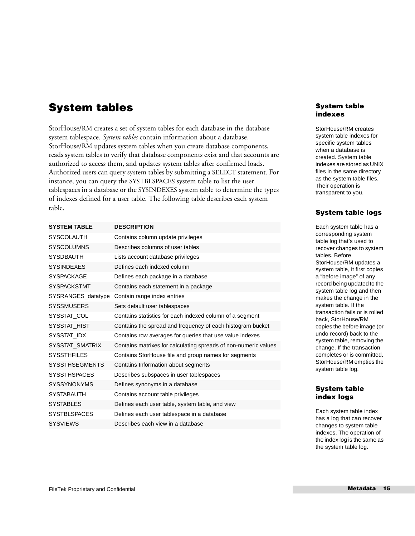### **System tables**

StorHouse/RM creates a set of system tables for each database in the database system tablespace. *System tables* contain information about a database. StorHouse/RM updates system tables when you create database components, reads system tables to verify that database components exist and that accounts are authorized to access them, and updates system tables after confirmed loads. Authorized users can query system tables by submitting a SELECT statement. For instance, you can query the SYSTBLSPACES system table to list the user tablespaces in a database or the SYSINDEXES system table to determine the types of indexes defined for a user table. The following table describes each system table.

| <b>SYSTEM TABLE</b>   | <b>DESCRIPTION</b>                                              |
|-----------------------|-----------------------------------------------------------------|
| <b>SYSCOLAUTH</b>     | Contains column update privileges                               |
| <b>SYSCOLUMNS</b>     | Describes columns of user tables                                |
| <b>SYSDBAUTH</b>      | Lists account database privileges                               |
| <b>SYSINDEXES</b>     | Defines each indexed column                                     |
| <b>SYSPACKAGE</b>     | Defines each package in a database                              |
| <b>SYSPACKSTMT</b>    | Contains each statement in a package                            |
| SYSRANGES datatype    | Contain range index entries                                     |
| <b>SYSSMUSERS</b>     | Sets default user tablespaces                                   |
| SYSSTAT COL           | Contains statistics for each indexed column of a segment        |
| SYSSTAT HIST          | Contains the spread and frequency of each histogram bucket      |
| SYSSTAT IDX           | Contains row averages for queries that use value indexes        |
| SYSSTAT SMATRIX       | Contains matrixes for calculating spreads of non-numeric values |
| <b>SYSSTHEILES</b>    | Contains StorHouse file and group names for segments            |
| <b>SYSSTHSEGMENTS</b> | Contains Information about segments                             |
| <b>SYSSTHSPACES</b>   | Describes subspaces in user tablespaces                         |
| <b>SYSSYNONYMS</b>    | Defines synonyms in a database                                  |
| <b>SYSTABAUTH</b>     | Contains account table privileges                               |
| <b>SYSTABLES</b>      | Defines each user table, system table, and view                 |
| <b>SYSTBLSPACES</b>   | Defines each user tablespace in a database                      |
| <b>SYSVIFWS</b>       | Describes each view in a database                               |

### **System table indexes**

StorHouse/RM creates system table indexes for specific system tables when a database is created. System table indexes are stored as UNIX files in the same directory as the system table files. Their operation is transparent to you.

### **System table logs**

Each system table has a corresponding system table log that's used to recover changes to system tables. Before StorHouse/RM updates a system table, it first copies a "before image" of any record being updated to the system table log and then makes the change in the system table. If the transaction fails or is rolled back, StorHouse/RM copies the before image (or undo record) back to the system table, removing the change. If the transaction completes or is committed, StorHouse/RM empties the system table log.

### **System table index logs**

Each system table index has a log that can recover changes to system table indexes. The operation of the index log is the same as the system table log.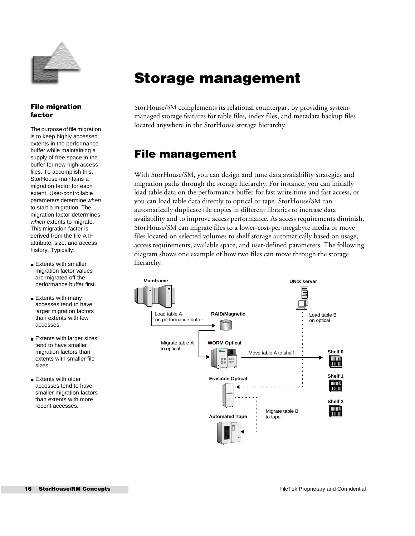

### **File migration factor**

The purpose of file migration is to keep highly accessed extents in the performance buffer while maintaining a supply of free space in the buffer for new high-access files. To accomplish this, StorHouse maintains a migration factor for each extent. User-controllable parameters determine when to start a migration. The migration factor determines which extents to migrate. This migration factor is derived from the file ATF attribute, size, and access history. Typically:

- Extents with smaller migration factor values are migrated off the performance buffer first.
- Extents with many accesses tend to have larger migration factors than extents with few accesses.
- Extents with larger sizes tend to have smaller migration factors than extents with smaller file sizes.
- Extents with older accesses tend to have smaller migration factors than extents with more recent accesses.

## <span id="page-15-0"></span>**Storage management**

StorHouse/SM complements its relational counterpart by providing systemmanaged storage features for table files, index files, and metadata backup files located anywhere in the StorHouse storage hierarchy.

## **File management**

With StorHouse/SM, you can design and tune data availability strategies and migration paths through the storage hierarchy. For instance, you can initially load table data on the performance buffer for fast write time and fast access, or you can load table data directly to optical or tape. StorHouse/SM can automatically duplicate file copies in different libraries to increase data availability and to improve access performance. As access requirements diminish, StorHouse/SM can migrate files to a lower-cost-per-megabyte media or move files located on selected volumes to shelf storage automatically based on usage, access requirements, available space, and user-defined parameters. The following diagram shows one example of how two files can move through the storage hierarchy.

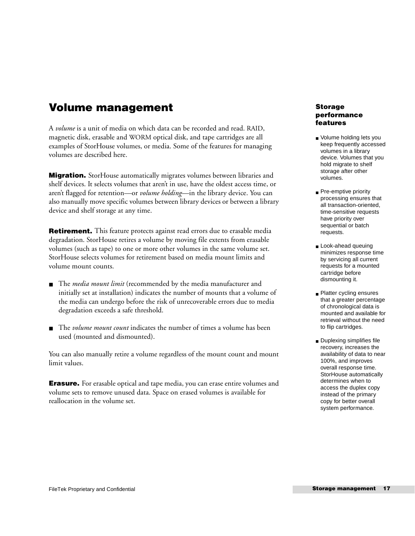### **Volume management**

A *volume* is a unit of media on which data can be recorded and read. RAID, magnetic disk, erasable and WORM optical disk, and tape cartridges are all examples of StorHouse volumes, or media. Some of the features for managing volumes are described here.

**Migration.** StorHouse automatically migrates volumes between libraries and shelf devices. It selects volumes that aren't in use, have the oldest access time, or aren't flagged for retention—or *volume holding*—in the library device. You can also manually move specific volumes between library devices or between a library device and shelf storage at any time.

**Retirement.** This feature protects against read errors due to erasable media degradation. StorHouse retires a volume by moving file extents from erasable volumes (such as tape) to one or more other volumes in the same volume set. StorHouse selects volumes for retirement based on media mount limits and volume mount counts.

- The *media mount limit* (recommended by the media manufacturer and initially set at installation) indicates the number of mounts that a volume of the media can undergo before the risk of unrecoverable errors due to media degradation exceeds a safe threshold.
- The *volume mount count* indicates the number of times a volume has been used (mounted and dismounted).

You can also manually retire a volume regardless of the mount count and mount limit values.

**Erasure.** For erasable optical and tape media, you can erase entire volumes and volume sets to remove unused data. Space on erased volumes is available for reallocation in the volume set.

### **Storage performance features**

- Volume holding lets you keep frequently accessed volumes in a library device. Volumes that you hold migrate to shelf storage after other volumes.
- Pre-emptive priority processing ensures that all transaction-oriented, time-sensitive requests have priority over sequential or batch requests.
- Look-ahead queuing minimizes response time by servicing all current requests for a mounted cartridge before dismounting it.
- Platter cycling ensures that a greater percentage of chronological data is mounted and available for retrieval without the need to flip cartridges.
- Duplexing simplifies file recovery, increases the availability of data to near 100%, and improves overall response time. StorHouse automatically determines when to access the duplex copy instead of the primary copy for better overall system performance.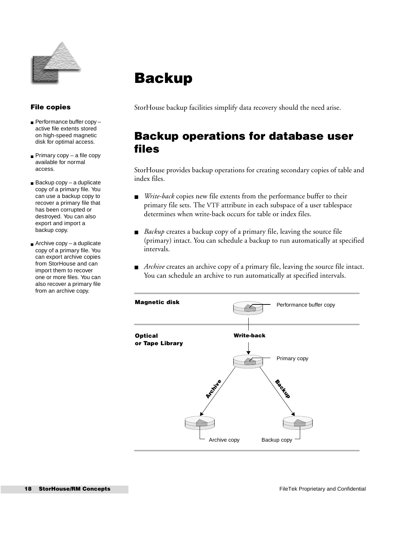

### **File copies**

- Performance buffer copy active file extents stored on high-speed magnetic disk for optimal access.
- Primary copy a file copy available for normal access.
- Backup copy a duplicate copy of a primary file. You can use a backup copy to recover a primary file that has been corrupted or destroyed. You can also export and import a backup copy.
- Archive copy a duplicate copy of a primary file. You can export archive copies from StorHouse and can import them to recover one or more files. You can also recover a primary file from an archive copy.

## <span id="page-17-0"></span>**Backup**

StorHouse backup facilities simplify data recovery should the need arise.

## **Backup operations for database user files**

StorHouse provides backup operations for creating secondary copies of table and index files.

- *Write-back* copies new file extents from the performance buffer to their primary file sets. The VTF attribute in each subspace of a user tablespace determines when write-back occurs for table or index files.
- *Backup* creates a backup copy of a primary file, leaving the source file (primary) intact. You can schedule a backup to run automatically at specified intervals.
- *Archive* creates an archive copy of a primary file, leaving the source file intact. You can schedule an archive to run automatically at specified intervals.

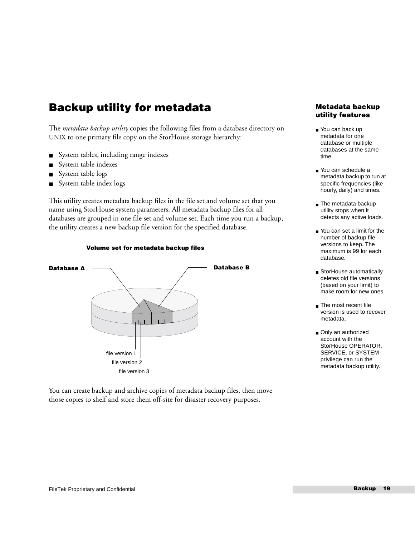### **Backup utility for metadata**

The *metadata backup utility* copies the following files from a database directory on UNIX to one primary file copy on the StorHouse storage hierarchy:

- System tables, including range indexes
- System table indexes
- System table logs
- System table index logs

This utility creates metadata backup files in the file set and volume set that you name using StorHouse system parameters. All metadata backup files for all databases are grouped in one file set and volume set. Each time you run a backup, the utility creates a new backup file version for the specified database.



**Volume set for metadata backup files**

You can create backup and archive copies of metadata backup files, then move those copies to shelf and store them off-site for disaster recovery purposes.

### **Metadata backup utility features**

- You can back up metadata for one database or multiple databases at the same time.
- You can schedule a metadata backup to run at specific frequencies (like hourly, daily) and times.
- The metadata backup utility stops when it detects any active loads.
- You can set a limit for the number of backup file versions to keep. The maximum is 99 for each database.
- StorHouse automatically deletes old file versions (based on your limit) to make room for new ones.
- The most recent file version is used to recover metadata.
- Only an authorized account with the StorHouse OPERATOR, SERVICE, or SYSTEM privilege can run the metadata backup utility.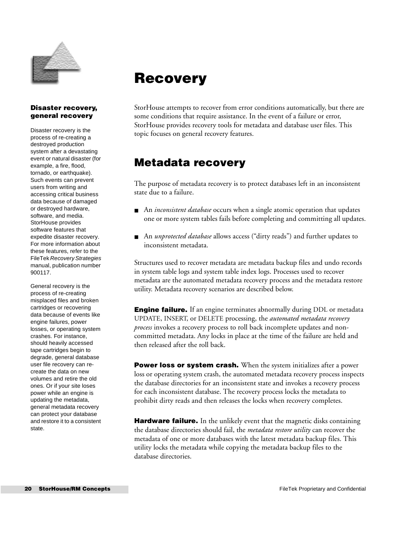

### **Disaster recovery, general recovery**

Disaster recovery is the process of re-creating a destroyed production system after a devastating event or natural disaster (for example, a fire, flood, tornado, or earthquake). Such events can prevent users from writing and accessing critical business data because of damaged or destroyed hardware, software, and media. StorHouse provides software features that expedite disaster recovery. For more information about these features, refer to the FileTek Recovery Strategies manual, publication number 900117.

General recovery is the process of re-creating misplaced files and broken cartridges or recovering data because of events like engine failures, power losses, or operating system crashes. For instance, should heavily accessed tape cartridges begin to degrade, general database user file recovery can recreate the data on new volumes and retire the old ones. Or if your site loses power while an engine is updating the metadata, general metadata recovery can protect your database and restore it to a consistent state.

## <span id="page-19-0"></span>**Recovery**

StorHouse attempts to recover from error conditions automatically, but there are some conditions that require assistance. In the event of a failure or error, StorHouse provides recovery tools for metadata and database user files. This topic focuses on general recovery features.

### **Metadata recovery**

The purpose of metadata recovery is to protect databases left in an inconsistent state due to a failure.

- An *inconsistent database* occurs when a single atomic operation that updates one or more system tables fails before completing and committing all updates.
- An *unprotected database* allows access ("dirty reads") and further updates to inconsistent metadata.

Structures used to recover metadata are metadata backup files and undo records in system table logs and system table index logs. Processes used to recover metadata are the automated metadata recovery process and the metadata restore utility. Metadata recovery scenarios are described below.

**Engine failure.** If an engine terminates abnormally during DDL or metadata UPDATE, INSERT, or DELETE processing, the *automated metadata recovery process* invokes a recovery process to roll back incomplete updates and noncommitted metadata. Any locks in place at the time of the failure are held and then released after the roll back.

**Power loss or system crash.** When the system initializes after a power loss or operating system crash, the automated metadata recovery process inspects the database directories for an inconsistent state and invokes a recovery process for each inconsistent database. The recovery process locks the metadata to prohibit dirty reads and then releases the locks when recovery completes.

**Hardware failure.** In the unlikely event that the magnetic disks containing the database directories should fail, the *metadata restore utility* can recover the metadata of one or more databases with the latest metadata backup files. This utility locks the metadata while copying the metadata backup files to the database directories.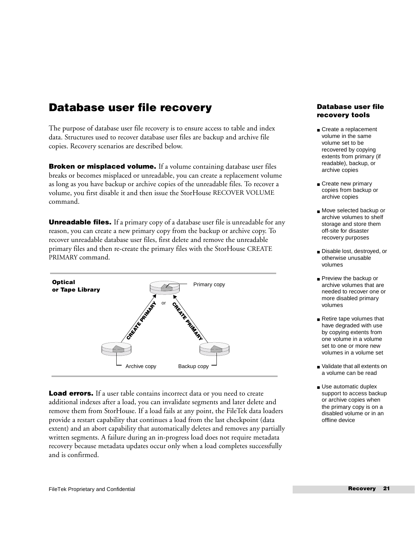### **Database user file recovery**

The purpose of database user file recovery is to ensure access to table and index data. Structures used to recover database user files are backup and archive file copies. Recovery scenarios are described below.

**Broken or misplaced volume.** If a volume containing database user files breaks or becomes misplaced or unreadable, you can create a replacement volume as long as you have backup or archive copies of the unreadable files. To recover a volume, you first disable it and then issue the StorHouse RECOVER VOLUME command.

**Unreadable files.** If a primary copy of a database user file is unreadable for any reason, you can create a new primary copy from the backup or archive copy. To recover unreadable database user files, first delete and remove the unreadable primary files and then re-create the primary files with the StorHouse CREATE PRIMARY command.



**Load errors.** If a user table contains incorrect data or you need to create additional indexes after a load, you can invalidate segments and later delete and remove them from StorHouse. If a load fails at any point, the FileTek data loaders provide a restart capability that continues a load from the last checkpoint (data extent) and an abort capability that automatically deletes and removes any partially written segments. A failure during an in-progress load does not require metadata recovery because metadata updates occur only when a load completes successfully and is confirmed.

### **Database user file recovery tools**

- Create a replacement volume in the same volume set to be recovered by copying extents from primary (if readable), backup, or archive copies
- Create new primary copies from backup or archive copies
- Move selected backup or archive volumes to shelf storage and store them off-site for disaster recovery purposes
- Disable lost, destroyed, or otherwise unusable volumes
- Preview the backup or archive volumes that are needed to recover one or more disabled primary volumes
- Retire tape volumes that have degraded with use by copying extents from one volume in a volume set to one or more new volumes in a volume set
- Validate that all extents on a volume can be read
- Use automatic duplex support to access backup or archive copies when the primary copy is on a disabled volume or in an offline device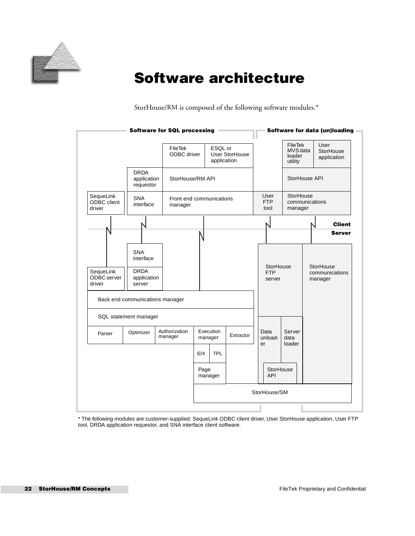

## <span id="page-21-0"></span>**Software architecture**

StorHouse/RM is composed of the following software modules.\*

| <b>Software for SQL processing</b> |                                                                                                    |                                     |            |                        |                |    | Software for data (un)loading     |                                                 |                      |                          |
|------------------------------------|----------------------------------------------------------------------------------------------------|-------------------------------------|------------|------------------------|----------------|----|-----------------------------------|-------------------------------------------------|----------------------|--------------------------|
|                                    |                                                                                                    | FileTek<br>ODBC driver              |            | ESQL or<br>application | User StorHouse |    |                                   | <b>FileTek</b><br>MVS data<br>loader<br>utility | User                 | StorHouse<br>application |
|                                    | <b>DRDA</b><br>application<br>requestor                                                            | StorHouse/RM API                    |            |                        |                |    |                                   | StorHouse API                                   |                      |                          |
| SequeLink<br>ODBC client<br>driver | <b>SNA</b><br>interface                                                                            | Front end communications<br>manager |            |                        |                |    | User<br><b>FTP</b><br>tool        | StorHouse<br>communications<br>manager          |                      |                          |
|                                    |                                                                                                    |                                     |            |                        |                |    |                                   |                                                 |                      | <b>Client</b>            |
|                                    |                                                                                                    |                                     |            |                        |                |    |                                   |                                                 |                      | <b>Server</b>            |
| SequeLink<br>ODBC server<br>driver | <b>SNA</b><br>interface<br><b>DRDA</b><br>application<br>server<br>Back end communications manager |                                     |            |                        |                |    | StorHouse<br><b>FTP</b><br>server |                                                 | StorHouse<br>manager | communications           |
|                                    | SQL statement manager                                                                              |                                     |            |                        |                |    |                                   |                                                 |                      |                          |
| Parser                             | Optimizer                                                                                          | Authorization<br>manager            |            | Execution<br>manager   | Extractor      | er | Data<br>unload-                   | Server<br>data<br>loader                        |                      |                          |
|                                    |                                                                                                    |                                     | <b>IDX</b> | <b>TPL</b>             |                |    |                                   |                                                 |                      |                          |
|                                    |                                                                                                    |                                     | Page       | manager                |                |    | StorHouse<br><b>API</b>           |                                                 |                      |                          |
|                                    |                                                                                                    |                                     |            |                        |                |    | StorHouse/SM                      |                                                 |                      |                          |
|                                    |                                                                                                    |                                     |            |                        |                |    |                                   |                                                 |                      |                          |

\* The following modules are customer-supplied: SequeLink ODBC client driver, User StorHouse application, User FTP tool, DRDA application requestor, and SNA interface client software.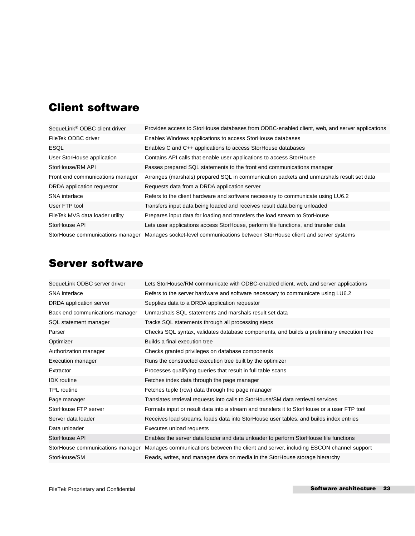## **Client software**

| SequeLink <sup>®</sup> ODBC client driver | Provides access to StorHouse databases from ODBC-enabled client, web, and server applications |
|-------------------------------------------|-----------------------------------------------------------------------------------------------|
| FileTek ODBC driver                       | Enables Windows applications to access StorHouse databases                                    |
| <b>ESQL</b>                               | Enables C and C++ applications to access StorHouse databases                                  |
| User StorHouse application                | Contains API calls that enable user applications to access StorHouse                          |
| StorHouse/RM API                          | Passes prepared SQL statements to the front end communications manager                        |
| Front end communications manager          | Arranges (marshals) prepared SQL in communication packets and unmarshals result set data      |
| DRDA application requestor                | Requests data from a DRDA application server                                                  |
| <b>SNA</b> interface                      | Refers to the client hardware and software necessary to communicate using LU6.2               |
| User FTP tool                             | Transfers input data being loaded and receives result data being unloaded                     |
| FileTek MVS data loader utility           | Prepares input data for loading and transfers the load stream to StorHouse                    |
| StorHouse API                             | Lets user applications access StorHouse, perform file functions, and transfer data            |
| StorHouse communications manager          | Manages socket-level communications between StorHouse client and server systems               |

## **Server software**

| SequeLink ODBC server driver     | Lets StorHouse/RM communicate with ODBC-enabled client, web, and server applications        |
|----------------------------------|---------------------------------------------------------------------------------------------|
| <b>SNA</b> interface             | Refers to the server hardware and software necessary to communicate using LU6.2             |
| DRDA application server          | Supplies data to a DRDA application requestor                                               |
| Back end communications manager  | Unmarshals SQL statements and marshals result set data                                      |
| SQL statement manager            | Tracks SQL statements through all processing steps                                          |
| Parser                           | Checks SQL syntax, validates database components, and builds a preliminary execution tree   |
| Optimizer                        | Builds a final execution tree                                                               |
| Authorization manager            | Checks granted privileges on database components                                            |
| <b>Execution manager</b>         | Runs the constructed execution tree built by the optimizer                                  |
| Extractor                        | Processes qualifying queries that result in full table scans                                |
| <b>IDX</b> routine               | Fetches index data through the page manager                                                 |
| <b>TPL</b> routine               | Fetches tuple (row) data through the page manager                                           |
| Page manager                     | Translates retrieval requests into calls to StorHouse/SM data retrieval services            |
| StorHouse FTP server             | Formats input or result data into a stream and transfers it to StorHouse or a user FTP tool |
| Server data loader               | Receives load streams, loads data into StorHouse user tables, and builds index entries      |
| Data unloader                    | Executes unload requests                                                                    |
| StorHouse API                    | Enables the server data loader and data unloader to perform StorHouse file functions        |
| StorHouse communications manager | Manages communications between the client and server, including ESCON channel support       |
| StorHouse/SM                     | Reads, writes, and manages data on media in the StorHouse storage hierarchy                 |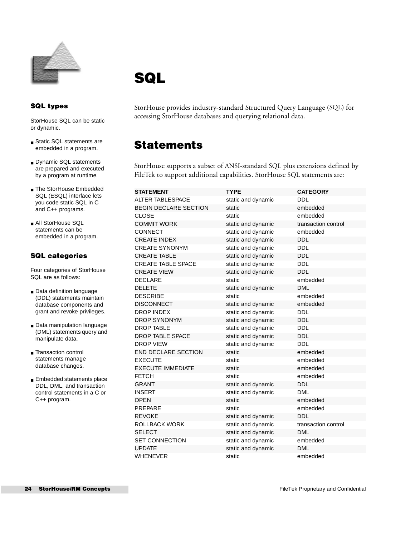

## <span id="page-23-0"></span>**SQL**

### **SQL types**

StorHouse SQL can be static or dynamic.

- Static SQL statements are embedded in a program.
- Dynamic SQL statements are prepared and executed by a program at runtime.
- The StorHouse Embedded SQL (ESQL) interface lets you code static SQL in C and C++ programs.
- All StorHouse SQL statements can be embedded in a program.

### **SQL categories**

Four categories of StorHouse SQL are as follows:

- Data definition language (DDL) statements maintain database components and grant and revoke privileges.
- Data manipulation language (DML) statements query and manipulate data.
- Transaction control statements manage database changes.
- Embedded statements place DDL, DML, and transaction control statements in a C or C++ program.

StorHouse provides industry-standard Structured Query Language (SQL) for accessing StorHouse databases and querying relational data.

### **Statements**

StorHouse supports a subset of ANSI-standard SQL plus extensions defined by FileTek to support additional capabilities. StorHouse SQL statements are:

| <b>STATEMENT</b>             | <b>TYPE</b>        | <b>CATEGORY</b>     |
|------------------------------|--------------------|---------------------|
| <b>ALTER TABLESPACE</b>      | static and dynamic | <b>DDL</b>          |
| <b>BEGIN DECLARE SECTION</b> | static             | embedded            |
| <b>CLOSE</b>                 | static             | embedded            |
| <b>COMMIT WORK</b>           | static and dynamic | transaction control |
| <b>CONNECT</b>               | static and dynamic | embedded            |
| <b>CREATE INDEX</b>          | static and dynamic | <b>DDL</b>          |
| <b>CREATE SYNONYM</b>        | static and dynamic | <b>DDL</b>          |
| <b>CREATE TABLE</b>          | static and dynamic | <b>DDL</b>          |
| <b>CREATE TABLE SPACE</b>    | static and dynamic | <b>DDL</b>          |
| <b>CREATE VIEW</b>           | static and dynamic | <b>DDL</b>          |
| <b>DECLARE</b>               | static             | embedded            |
| <b>DELETE</b>                | static and dynamic | <b>DML</b>          |
| <b>DESCRIBE</b>              | static             | embedded            |
| <b>DISCONNECT</b>            | static and dynamic | embedded            |
| <b>DROP INDEX</b>            | static and dynamic | <b>DDL</b>          |
| <b>DROP SYNONYM</b>          | static and dynamic | <b>DDL</b>          |
| <b>DROP TABLE</b>            | static and dynamic | <b>DDL</b>          |
| <b>DROP TABLE SPACE</b>      | static and dynamic | <b>DDL</b>          |
| <b>DROP VIEW</b>             | static and dynamic | DDL                 |
| <b>END DECLARE SECTION</b>   | static             | embedded            |
| <b>EXECUTE</b>               | static             | embedded            |
| <b>EXECUTE IMMEDIATE</b>     | static             | embedded            |
| <b>FETCH</b>                 | static             | embedded            |
| <b>GRANT</b>                 | static and dynamic | <b>DDL</b>          |
| <b>INSERT</b>                | static and dynamic | <b>DML</b>          |
| <b>OPEN</b>                  | static             | embedded            |
| <b>PREPARE</b>               | static             | embedded            |
| <b>REVOKE</b>                | static and dynamic | <b>DDL</b>          |
| ROLLBACK WORK                | static and dynamic | transaction control |
| <b>SELECT</b>                | static and dynamic | <b>DML</b>          |
| <b>SET CONNECTION</b>        | static and dynamic | embedded            |
| <b>UPDATE</b>                | static and dynamic | <b>DML</b>          |
| <b>WHENEVER</b>              | static             | embedded            |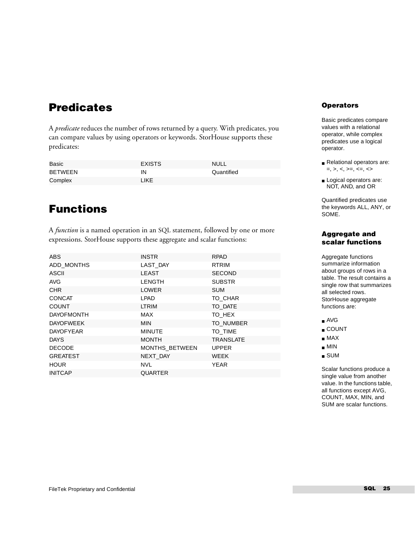### **Predicates**

A *predicate* reduces the number of rows returned by a query. With predicates, you can compare values by using operators or keywords. StorHouse supports these predicates:

| Basic          | <b>EXISTS</b> | NULL <sub></sub> |
|----------------|---------------|------------------|
| <b>BETWEEN</b> | ΙN            | Quantified       |
| Complex        | <b>LIKE</b>   |                  |

## **Functions**

A *function* is a named operation in an SQL statement, followed by one or more expressions. StorHouse supports these aggregate and scalar functions:

| ABS               | <b>INSTR</b>          | <b>RPAD</b>      |
|-------------------|-----------------------|------------------|
| ADD MONTHS        | LAST DAY              | <b>RTRIM</b>     |
| ASCII             | <b>LEAST</b>          | <b>SECOND</b>    |
| <b>AVG</b>        | <b>LENGTH</b>         | <b>SUBSTR</b>    |
| <b>CHR</b>        | <b>LOWER</b>          | <b>SUM</b>       |
| <b>CONCAT</b>     | LPAD                  | TO CHAR          |
| <b>COUNT</b>      | LTRIM                 | TO DATE          |
| <b>DAYOFMONTH</b> | MAX                   | TO HEX           |
| <b>DAYOFWEEK</b>  | <b>MIN</b>            | TO NUMBER        |
| <b>DAYOFYEAR</b>  | <b>MINUTE</b>         | TO TIME          |
| <b>DAYS</b>       | <b>MONTH</b>          | <b>TRANSLATE</b> |
| <b>DECODE</b>     | <b>MONTHS BETWEEN</b> | <b>UPPER</b>     |
| <b>GREATEST</b>   | NEXT DAY              | <b>WEEK</b>      |
| <b>HOUR</b>       | <b>NVL</b>            | <b>YEAR</b>      |
| <b>INITCAP</b>    | <b>QUARTER</b>        |                  |
|                   |                       |                  |

### **Operators**

Basic predicates compare values with a relational operator, while complex predicates use a logical operator.

- Relational operators are:  $=, >, <, >=, <=, <$
- Logical operators are: NOT, AND, and OR

Quantified predicates use the keywords ALL, ANY, or SOME.

### **Aggregate and scalar functions**

Aggregate functions summarize information about groups of rows in a table. The result contains a single row that summarizes all selected rows. StorHouse aggregate functions are:

- AVG
- COUNT
- MAX
- MIN
- SUM

Scalar functions produce a single value from another value. In the functions table, all functions except AVG, COUNT, MAX, MIN, and SUM are scalar functions.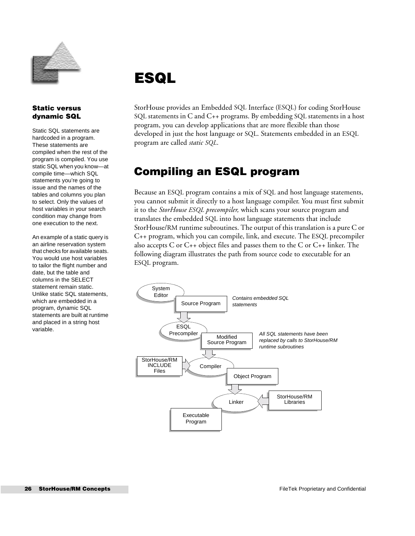

### **Static versus dynamic SQL**

Static SQL statements are hardcoded in a program. These statements are compiled when the rest of the program is compiled. You use static SQL when you know—at compile time—which SQL statements you're going to issue and the names of the tables and columns you plan to select. Only the values of host variables in your search condition may change from one execution to the next.

An example of a static query is an airline reservation system that checks for available seats. You would use host variables to tailor the flight number and date, but the table and columns in the SELECT statement remain static. Unlike static SQL statements, which are embedded in a program, dynamic SQL statements are built at runtime and placed in a string host variable.

## <span id="page-25-0"></span>**ESQL**

StorHouse provides an Embedded SQL Interface (ESQL) for coding StorHouse SQL statements in C and C++ programs. By embedding SQL statements in a host program, you can develop applications that are more flexible than those developed in just the host language or SQL. Statements embedded in an ESQL program are called *static SQL*.

## **Compiling an ESQL program**

Because an ESQL program contains a mix of SQL and host language statements, you cannot submit it directly to a host language compiler. You must first submit it to the *StorHouse ESQL precompiler,* which scans your source program and translates the embedded SQL into host language statements that include StorHouse/RM runtime subroutines. The output of this translation is a pure C or C++ program, which you can compile, link, and execute. The ESQL precompiler also accepts C or  $C_{++}$  object files and passes them to the C or  $C_{++}$  linker. The following diagram illustrates the path from source code to executable for an ESQL program.

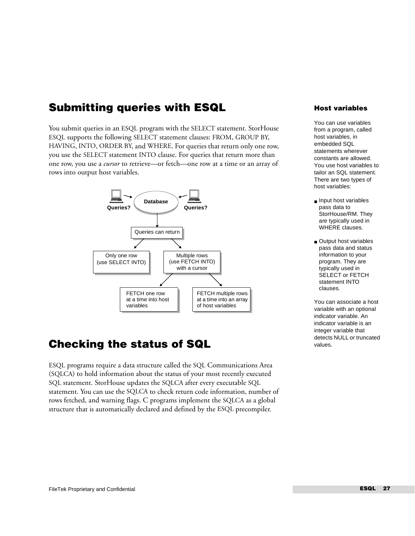## **Submitting queries with ESQL**

You submit queries in an ESQL program with the SELECT statement. StorHouse ESQL supports the following SELECT statement clauses: FROM, GROUP BY, HAVING, INTO, ORDER BY, and WHERE. For queries that return only one row, you use the SELECT statement INTO clause. For queries that return more than one row, you use a *cursor* to retrieve—or fetch—one row at a time or an array of rows into output host variables.



## **Checking the status of SQL**

ESQL programs require a data structure called the SQL Communications Area (SQLCA) to hold information about the status of your most recently executed SQL statement. StorHouse updates the SQLCA after every executable SQL statement. You can use the SQLCA to check return code information, number of rows fetched, and warning flags. C programs implement the SQLCA as a global structure that is automatically declared and defined by the ESQL precompiler.

### **Host variables**

You can use variables from a program, called host variables, in embedded SQL statements wherever constants are allowed. You use host variables to tailor an SQL statement. There are two types of host variables:

- Input host variables pass data to StorHouse/RM. They are typically used in WHERE clauses.
- Output host variables pass data and status information to your program. They are typically used in SELECT or FETCH statement INTO clauses.

You can associate a host variable with an optional indicator variable. An indicator variable is an integer variable that detects NULL or truncated values.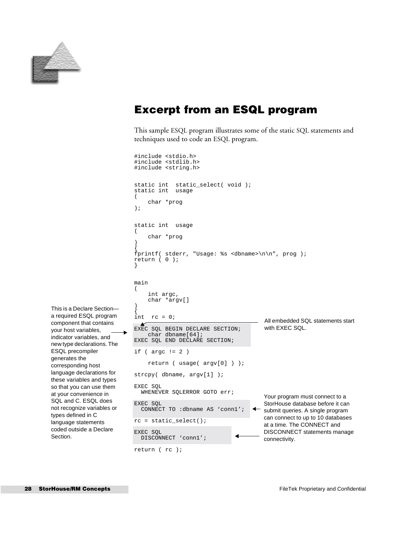

your host variables,

ESQL precompiler generates the corresponding host

types defined in C

Section.

### **Excerpt from an ESQL program**

This sample ESQL program illustrates some of the static SQL statements and techniques used to code an ESQL program.

```
#include <stdio.h>
                            #include <stdlib.h>
                            #include <string.h>
                            static int static_select( void );
                            static int usage
                            (
                                  char *prog
                            );
                            static int usage
                            (
                                  char *prog
                            )
                            {
                            fprintf( stderr, "Usage: %s <dbname>\n\n", prog );
                            return ( 0 );
                            }
                            main
                            (
                                  int argc,
                                  char *argv[]
                            )
This is a Declare Section—
                            {
a required ESQL program 
                            int rc = 0;
                                                                         All embedded SQL statements start 
component that contains 
                              A
                                                                         with EXEC SQL.
                            EXEC SQL BEGIN DECLARE SECTION;
                                  char dbname[64];
indicator variables, and 
                            EXEC SQL END DECLARE SECTION;
new type declarations. The 
                            if ( argc != 2 )
                                  return ( usage( argv[0] ) );
language declarations for 
                            strcpy( dbname, argv[1] );
these variables and types 
                            EXEC SQL
so that you can use them 
                              WHENEVER SQLERROR GOTO err;
at your convenience in 
                                                                         Your program must connect to a 
SQL and C. ESQL does 
                            EXEC SQL
                                                                         StorHouse database before it can 
not recognize variables or 
                               CONNECT TO :dbname AS 'conn1';
                                                                        submit queries. A single program 
                                                                         can connect to up to 10 databases 
                            rc = static_select();
language statements 
                                                                         at a time. The CONNECT and 
coded outside a Declare 
                            EXEC SQL
                                                                         DISCONNECT statements manage 
                               DISCONNECT 'conn1';
                                                                         connectivity.
```
**28 StorHouse/RM Concepts FileTek Proprietary and Confidential** 

return ( rc );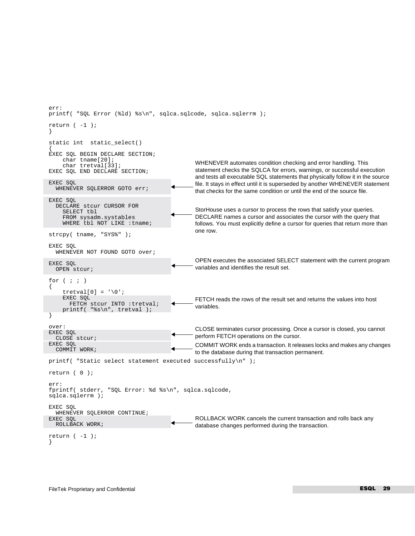```
err:
printf( "SQL Error (%ld) %s\n", sqlca.sqlcode, sqlca.sqlerrm );
return (-1);
}
static int static_select()
{
EXEC SQL BEGIN DECLARE SECTION;
     char tname[20];
     char tretval[33];
EXEC SQL END DECLARE SECTION;
EXEC SOL
  WHENEVER SQLERROR GOTO err;
EXEC SQL
   DECLARE stcur CURSOR FOR
     SELECT tbl
     FROM sysadm.systables
    WHERE tbl NOT LIKE : tname;
strcpy( tname, "SYS%" );
EXEC SQL
  WHENEVER NOT FOUND GOTO over;
EXEC SQL
   OPEN stcur;
for (i ; i){
    tretval[0] = '\0;
     EXEC SQL
        FETCH stcur INTO :tretval; 
     printf( "%s\n", tretval );
}
over:
EXEC SQL
  CLOSE stcur;
EXEC SQL
   COMMIT WORK;
printf( "Static select statement executed successfully\n" );
return ( 0 );
err:
fprintf( stderr, "SQL Error: %d %s\n", sqlca.sqlcode, 
sqlca.sqlerrm );
EXEC SQL
   WHENEVER SQLERROR CONTINUE;
EXEC SQL
  ROLLBACK WORK;
return (-1);
}
                                                   WHENEVER automates condition checking and error handling. This 
                                                   statement checks the SQLCA for errors, warnings, or successful execution 
                                                   and tests all executable SQL statements that physically follow it in the source 
                                                   file. It stays in effect until it is superseded by another WHENEVER statement 
                                                   that checks for the same condition or until the end of the source file.
                                                   StorHouse uses a cursor to process the rows that satisfy your queries. 
                                                   DECLARE names a cursor and associates the cursor with the query that 
                                                   follows. You must explicitly define a cursor for queries that return more than 
                                                   one row. 
                                                   OPEN executes the associated SELECT statement with the current program 
                                                   variables and identifies the result set. 
                                                   FETCH reads the rows of the result set and returns the values into host 
                                                   variables. 
                                                   CLOSE terminates cursor processing. Once a cursor is closed, you cannot 
                                                   perform FETCH operations on the cursor.
                                                   COMMIT WORK ends a transaction. It releases locks and makes any changes 
                                                   to the database during that transaction permanent.
                                                   ROLLBACK WORK cancels the current transaction and rolls back any 
                                                   database changes performed during the transaction.
```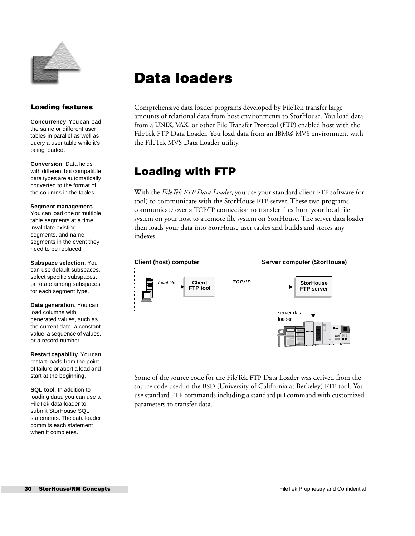

## <span id="page-29-0"></span>**Data loaders**

### **Loading features**

**Concurrency**. You can load the same or different user tables in parallel as well as query a user table while it's being loaded.

**Conversion**. Data fields with different but compatible data types are automatically converted to the format of the columns in the tables.

#### **Segment management.**

You can load one or multiple table segments at a time, invalidate existing segments, and name segments in the event they need to be replaced

**Subspace selection**. You can use default subspaces, select specific subspaces, or rotate among subspaces for each segment type.

**Data generation**. You can load columns with generated values, such as the current date, a constant value, a sequence of values, or a record number.

**Restart capability**. You can restart loads from the point of failure or abort a load and start at the beginning.

**SQL tool**. In addition to loading data, you can use a FileTek data loader to submit StorHouse SQL statements. The data loader commits each statement when it completes.

Comprehensive data loader programs developed by FileTek transfer large amounts of relational data from host environments to StorHouse. You load data from a UNIX, VAX, or other File Transfer Protocol (FTP) enabled host with the FileTek FTP Data Loader. You load data from an IBM® MVS environment with the FileTek MVS Data Loader utility.

## **Loading with FTP**

With the *FileTek FTP Data Loader*, you use your standard client FTP software (or tool) to communicate with the StorHouse FTP server. These two programs communicate over a TCP/IP connection to transfer files from your local file system on your host to a remote file system on StorHouse. The server data loader then loads your data into StorHouse user tables and builds and stores any indexes.



Some of the source code for the FileTek FTP Data Loader was derived from the source code used in the BSD (University of California at Berkeley) FTP tool. You use standard FTP commands including a standard put command with customized parameters to transfer data.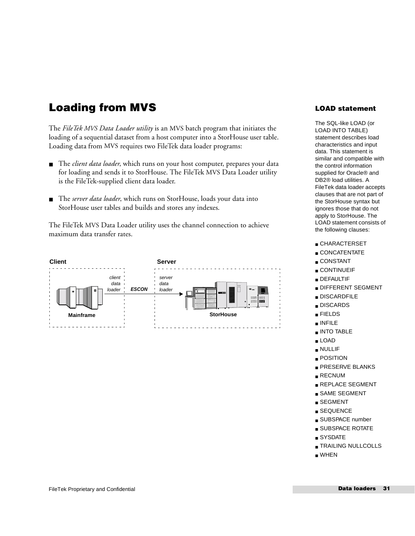## **Loading from MVS**

The *FileTek MVS Data Loader utility* is an MVS batch program that initiates the loading of a sequential dataset from a host computer into a StorHouse user table. Loading data from MVS requires two FileTek data loader programs:

- The *client data loader*, which runs on your host computer, prepares your data for loading and sends it to StorHouse. The FileTek MVS Data Loader utility is the FileTek-supplied client data loader.
- The *server data loader*, which runs on StorHouse, loads your data into StorHouse user tables and builds and stores any indexes.

The FileTek MVS Data Loader utility uses the channel connection to achieve maximum data transfer rates.



### **LOAD statement**

The SQL-like LOAD (or LOAD INTO TABLE) statement describes load characteristics and input data. This statement is similar and compatible with the control information supplied for Oracle® and DB2® load utilities. A FileTek data loader accepts clauses that are not part of the StorHouse syntax but ignores those that do not apply to StorHouse. The LOAD statement consists of the following clauses:

- CHARACTERSET
- CONCATENTATE
- CONSTANT
- CONTINUEIF
- DEFAULTIF
- DIFFERENT SEGMENT
- DISCARDFILE
- DISCARDS
- FIELDS
- INFILE
- INTO TABLE
- LOAD
- NULLIF
- POSITION
- 
- PRESERVE BLANKS
- RECNUM
- REPLACE SEGMENT
- SAME SEGMENT
- SEGMENT
- SEQUENCE
- SUBSPACE number
- SUBSPACE ROTATE
- SYSDATE
- TRAILING NULLCOLLS
- WHEN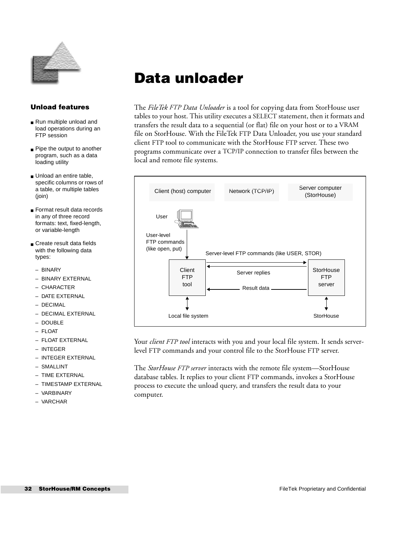

## <span id="page-31-0"></span>**Data unloader**

### **Unload features**

- Run multiple unload and load operations during an FTP session
- Pipe the output to another program, such as a data loading utility
- Unload an entire table. specific columns or rows of a table, or multiple tables (join)
- Format result data records in any of three record formats: text, fixed-length, or variable-length
- Create result data fields with the following data types:
- BINARY
- BINARY EXTERNAL
- CHARACTER
- DATE EXTERNAL
- DECIMAL
- DECIMAL EXTERNAL
- $=$  DOUBLE
- FLOAT
- FLOAT EXTERNAL
- INTEGER
- INTEGER EXTERNAL
- SMALLINT
- TIME EXTERNAL
- TIMESTAMP EXTERNAL
- VARBINARY
- VARCHAR

The *FileTek FTP Data Unloader* is a tool for copying data from StorHouse user tables to your host. This utility executes a SELECT statement, then it formats and transfers the result data to a sequential (or flat) file on your host or to a VRAM file on StorHouse. With the FileTek FTP Data Unloader, you use your standard client FTP tool to communicate with the StorHouse FTP server. These two programs communicate over a TCP/IP connection to transfer files between the local and remote file systems.



Your *client FTP tool* interacts with you and your local file system. It sends serverlevel FTP commands and your control file to the StorHouse FTP server.

The *StorHouse FTP server* interacts with the remote file system—StorHouse database tables. It replies to your client FTP commands, invokes a StorHouse process to execute the unload query, and transfers the result data to your computer.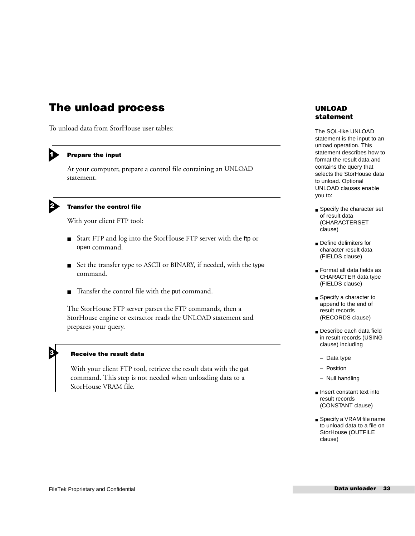### **The unload process**

To unload data from StorHouse user tables:

#### **Prepare the input**

**h** 

2

**b** 

At your computer, prepare a control file containing an UNLOAD statement.

#### **Transfer the control file**

With your client FTP tool:

- Start FTP and log into the StorHouse FTP server with the ftp or open command.
- Set the transfer type to ASCII or BINARY, if needed, with the type command.
- Transfer the control file with the put command.

The StorHouse FTP server parses the FTP commands, then a StorHouse engine or extractor reads the UNLOAD statement and prepares your query.

### **Receive the result data**

StorHouse VRAM file.

With your client FTP tool, retrieve the result data with the get command. This step is not needed when unloading data to a

### **UNLOAD statement**

The SQL-like UNLOAD statement is the input to an unload operation. This statement describes how to format the result data and contains the query that selects the StorHouse data to unload. Optional UNLOAD clauses enable you to:

- Specify the character set of result data (CHARACTERSET clause)
- Define delimiters for character result data (FIELDS clause)
- Format all data fields as CHARACTER data type (FIELDS clause)
- Specify a character to append to the end of result records (RECORDS clause)
- Describe each data field in result records (USING clause) including
	- Data type
	- Position
	- Null handling
- Insert constant text into result records (CONSTANT clause)
- Specify a VRAM file name to unload data to a file on StorHouse (OUTFILE clause)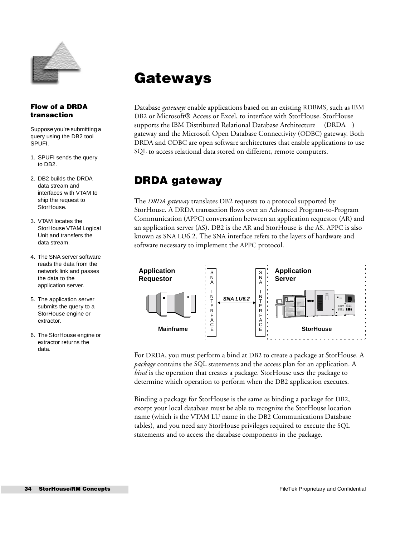

### **Flow of a DRDA transaction**

Suppose you're submitting a query using the DB2 tool SPUFI.

- 1. SPUFI sends the query to DB2.
- 2. DB2 builds the DRDA data stream and interfaces with VTAM to ship the request to StorHouse.
- 3. VTAM locates the StorHouse VTAM Logical Unit and transfers the data stream.
- 4. The SNA server software reads the data from the network link and passes the data to the application server.
- 5. The application server submits the query to a StorHouse engine or extractor.
- 6. The StorHouse engine or extractor returns the data.

## <span id="page-33-0"></span>**Gateways**

Database *gateways* enable applications based on an existing RDBMS, such as IBM DB2 or Microsoft® Access or Excel, to interface with StorHouse. StorHouse supports the IBM Distributed Relational Database Architecture<sup>TM</sup> (DRDA<sup>TM</sup>) gateway and the Microsoft Open Database Connectivity (ODBC) gateway. Both DRDA and ODBC are open software architectures that enable applications to use SQL to access relational data stored on different, remote computers.

## **DRDA gateway**

The *DRDA gateway* translates DB2 requests to a protocol supported by StorHouse. A DRDA transaction flows over an Advanced Program-to-Program Communication (APPC) conversation between an application requestor (AR) and an application server (AS). DB2 is the AR and StorHouse is the AS. APPC is also known as SNA LU6.2. The SNA interface refers to the layers of hardware and software necessary to implement the APPC protocol.



For DRDA, you must perform a bind at DB2 to create a package at StorHouse. A *package* contains the SQL statements and the access plan for an application. A *bind* is the operation that creates a package. StorHouse uses the package to determine which operation to perform when the DB2 application executes.

Binding a package for StorHouse is the same as binding a package for DB2, except your local database must be able to recognize the StorHouse location name (which is the VTAM LU name in the DB2 Communications Database tables), and you need any StorHouse privileges required to execute the SQL statements and to access the database components in the package.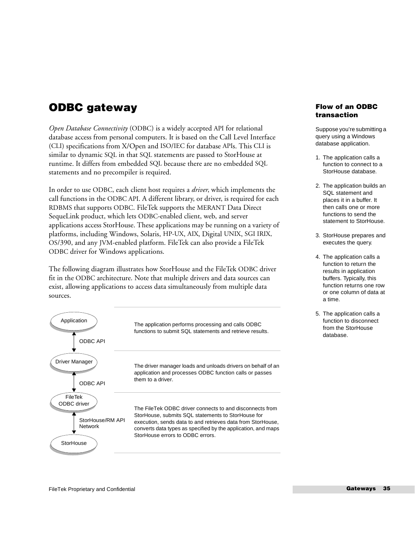### **ODBC gateway**

*Open Database Connectivity* (ODBC) is a widely accepted API for relational database access from personal computers. It is based on the Call Level Interface (CLI) specifications from X/Open and ISO/IEC for database APIs. This CLI is similar to dynamic SQL in that SQL statements are passed to StorHouse at runtime. It differs from embedded SQL because there are no embedded SQL statements and no precompiler is required.

In order to use ODBC, each client host requires a *driver*, which implements the call functions in the ODBC API. A different library, or driver, is required for each RDBMS that supports ODBC. FileTek supports the MERANT Data Direct SequeLink product, which lets ODBC-enabled client, web, and server applications access StorHouse. These applications may be running on a variety of platforms, including Windows, Solaris, HP-UX, AIX, Digital UNIX, SGI IRIX, OS/390, and any JVM-enabled platform. FileTek can also provide a FileTek ODBC driver for Windows applications.

The following diagram illustrates how StorHouse and the FileTek ODBC driver fit in the ODBC architecture. Note that multiple drivers and data sources can exist, allowing applications to access data simultaneously from multiple data sources.



### **Flow of an ODBC transaction**

Suppose you're submitting a query using a Windows database application.

- 1. The application calls a function to connect to a StorHouse database.
- 2. The application builds an SQL statement and places it in a buffer. It then calls one or more functions to send the statement to StorHouse.
- 3. StorHouse prepares and executes the query.
- 4. The application calls a function to return the results in application buffers. Typically, this function returns one row or one column of data at a time.
- 5. The application calls a function to disconnect from the StorHouse database.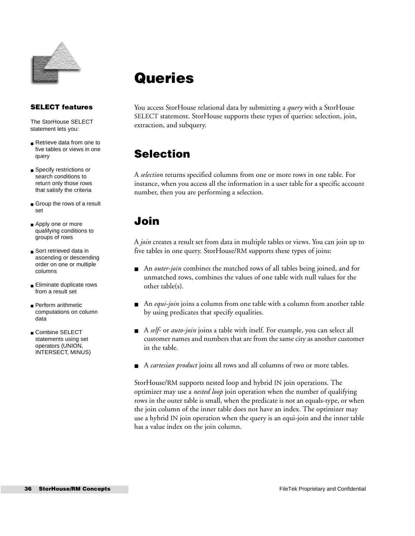

### **SELECT features**

The StorHouse SELECT statement lets you:

- Retrieve data from one to five tables or views in one query
- Specify restrictions or search conditions to return only those rows that satisfy the criteria
- Group the rows of a result set
- Apply one or more qualifying conditions to groups of rows
- Sort retrieved data in ascending or descending order on one or multiple columns
- Eliminate duplicate rows from a result set
- Perform arithmetic computations on column data
- Combine SELECT statements using set operators (UNION, INTERSECT, MINUS)

## <span id="page-35-0"></span>**Queries**

You access StorHouse relational data by submitting a *query* with a StorHouse SELECT statement. StorHouse supports these types of queries: selection, join, extraction, and subquery.

## **Selection**

A *selection* returns specified columns from one or more rows in one table. For instance, when you access all the information in a user table for a specific account number, then you are performing a selection.

## **Join**

A *join* creates a result set from data in multiple tables or views. You can join up to five tables in one query. StorHouse/RM supports these types of joins:

- An *outer-join* combines the matched rows of all tables being joined, and for unmatched rows, combines the values of one table with null values for the other table(s).
- An *equi-join* joins a column from one table with a column from another table by using predicates that specify equalities.
- A *self-* or *auto-join* joins a table with itself. For example, you can select all customer names and numbers that are from the same city as another customer in the table.
- A *cartesian product* joins all rows and all columns of two or more tables.

StorHouse/RM supports nested loop and hybrid IN join operations. The optimizer may use a *nested loop* join operation when the number of qualifying rows in the outer table is small, when the predicate is not an equals-type, or when the join column of the inner table does not have an index. The optimizer may use a hybrid IN join operation when the query is an equi-join and the inner table has a value index on the join column.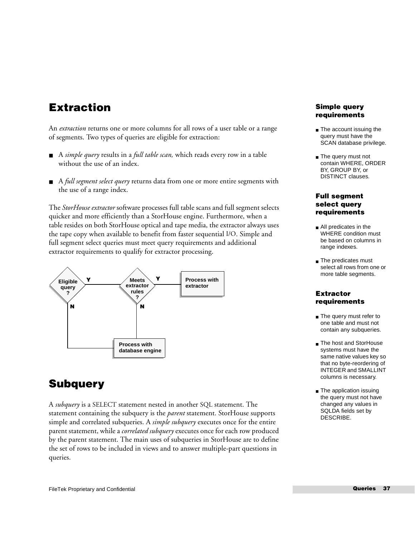## **Extraction**

An *extraction* returns one or more columns for all rows of a user table or a range of segments. Two types of queries are eligible for extraction:

- A *simple query* results in a *full table scan*, which reads every row in a table without the use of an index.
- A *full segment select query* returns data from one or more entire segments with the use of a range index.

The *StorHouse extractor* software processes full table scans and full segment selects quicker and more efficiently than a StorHouse engine. Furthermore, when a table resides on both StorHouse optical and tape media, the extractor always uses the tape copy when available to benefit from faster sequential I/O. Simple and full segment select queries must meet query requirements and additional extractor requirements to qualify for extractor processing.



## **Subquery**

A *subquery* is a SELECT statement nested in another SQL statement. The statement containing the subquery is the *parent* statement. StorHouse supports simple and correlated subqueries. A *simple subquery* executes once for the entire parent statement, while a *correlated subquery* executes once for each row produced by the parent statement. The main uses of subqueries in StorHouse are to define the set of rows to be included in views and to answer multiple-part questions in queries.

### **Simple query requirements**

- The account issuing the query must have the SCAN database privilege.
- The query must not contain WHERE, ORDER BY, GROUP BY, or DISTINCT clauses.

### **Full segment select query requirements**

- All predicates in the WHERE condition must be based on columns in range indexes.
- The predicates must select all rows from one or more table segments.

### **Extractor requirements**

- The query must refer to one table and must not contain any subqueries.
- The host and StorHouse systems must have the same native values key so that no byte-reordering of INTEGER and SMALLINT columns is necessary.
- The application issuing the query must not have changed any values in SQLDA fields set by DESCRIBE.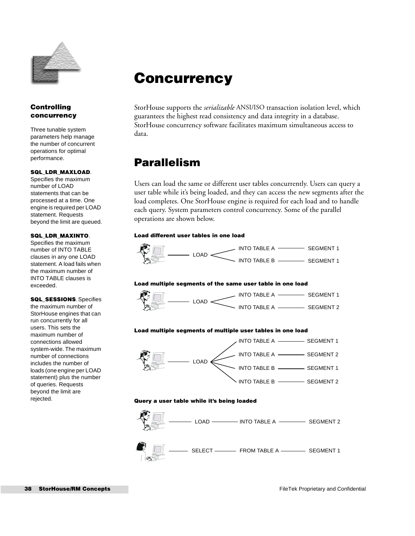

## <span id="page-37-0"></span>**Concurrency**

StorHouse supports the *serializable* ANSI/ISO transaction isolation level, which guarantees the highest read consistency and data integrity in a database. StorHouse concurrency software facilitates maximum simultaneous access to data.

## **Parallelism**

Users can load the same or different user tables concurrently. Users can query a user table while it's being loaded, and they can access the new segments after the load completes. One StorHouse engine is required for each load and to handle each query. System parameters control concurrency. Some of the parallel operations are shown below.

#### **Load different user tables in one load**



#### **Load multiple segments of the same user table in one load**



LOAD INTO TABLE A INTO TABLE A SEGMENT 1 SEGMENT 2

#### **Load multiple segments of multiple user tables in one load**



#### **Query a user table while it's being loaded**



### **Controlling concurrency**

Three tunable system parameters help manage the number of concurrent operations for optimal performance.

#### **SQL\_LDR\_MAXLOAD**.

Specifies the maximum number of LOAD statements that can be processed at a time. One engine is required per LOAD statement. Requests beyond the limit are queued.

#### **SQL\_LDR\_MAXINTO**.

Specifies the maximum number of INTO TABLE clauses in any one LOAD statement. A load fails when the maximum number of INTO TABLE clauses is exceeded.

**SQL\_SESSIONS**. Specifies the maximum number of StorHouse engines that can run concurrently for all users. This sets the maximum number of connections allowed system-wide. The maximum number of connections includes the number of loads (one engine per LOAD statement) plus the number of queries. Requests beyond the limit are rejected.

SEGMENT 1 SEGMENT 1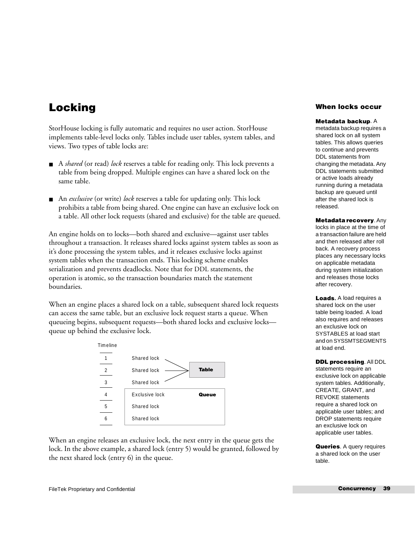## **Locking**

StorHouse locking is fully automatic and requires no user action. StorHouse implements table-level locks only. Tables include user tables, system tables, and views. Two types of table locks are:

- A *shared* (or read) lock reserves a table for reading only. This lock prevents a table from being dropped. Multiple engines can have a shared lock on the same table.
- An *exclusive* (or write) *lock* reserves a table for updating only. This lock prohibits a table from being shared. One engine can have an exclusive lock on a table. All other lock requests (shared and exclusive) for the table are queued.

An engine holds on to locks—both shared and exclusive—against user tables throughout a transaction. It releases shared locks against system tables as soon as it's done processing the system tables, and it releases exclusive locks against system tables when the transaction ends. This locking scheme enables serialization and prevents deadlocks. Note that for DDL statements, the operation is atomic, so the transaction boundaries match the statement boundaries.

When an engine places a shared lock on a table, subsequent shared lock requests can access the same table, but an exclusive lock request starts a queue. When queueing begins, subsequent requests—both shared locks and exclusive locks queue up behind the exclusive lock.

| Timeline       |                |              |
|----------------|----------------|--------------|
|                | Shared lock    |              |
| $\overline{2}$ | Shared lock    | <b>Table</b> |
| 3              | Shared lock    |              |
| 4              | Exclusive lock | Queue        |
| 5              | Shared lock    |              |
| 6              | Shared lock    |              |

When an engine releases an exclusive lock, the next entry in the queue gets the lock. In the above example, a shared lock (entry 5) would be granted, followed by the next shared lock (entry 6) in the queue.

### **When locks occur**

#### **Metadata backup**. A

metadata backup requires a shared lock on all system tables. This allows queries to continue and prevents DDL statements from changing the metadata. Any DDL statements submitted or active loads already running during a metadata backup are queued until after the shared lock is released.

**Metadata recovery**. Any

locks in place at the time of a transaction failure are held and then released after roll back. A recovery process places any necessary locks on applicable metadata during system initialization and releases those locks after recovery.

**Loads.** A load requires a shared lock on the user table being loaded. A load also requires and releases an exclusive lock on SYSTABLES at load start and on SYSSMTSEGMENTS at load end.

```
DDL processing. All DDL 
statements require an 
exclusive lock on applicable 
system tables. Additionally, 
CREATE, GRANT, and 
REVOKE statements 
require a shared lock on 
applicable user tables; and 
DROP statements require 
an exclusive lock on 
applicable user tables.
```
**Queries**. A query requires a shared lock on the user table.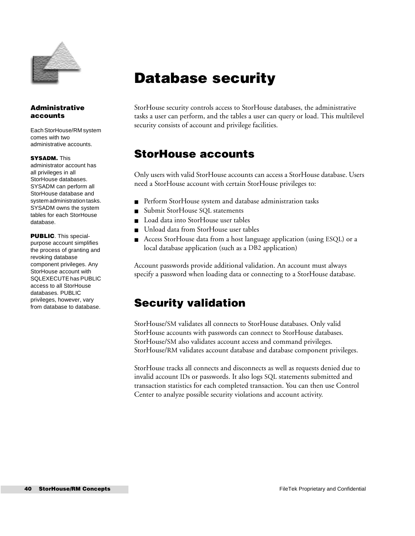

### **Administrative accounts**

Each StorHouse/RM system comes with two administrative accounts.

#### **SYSADM.** This

administrator account has all privileges in all StorHouse databases. SYSADM can perform all StorHouse database and system administration tasks. SYSADM owns the system tables for each StorHouse database.

**PUBLIC**. This specialpurpose account simplifies the process of granting and revoking database component privileges. Any StorHouse account with SQLEXECUTE has PUBLIC access to all StorHouse databases. PUBLIC privileges, however, vary from database to database.

## <span id="page-39-0"></span>**Database security**

StorHouse security controls access to StorHouse databases, the administrative tasks a user can perform, and the tables a user can query or load. This multilevel security consists of account and privilege facilities.

### **StorHouse accounts**

Only users with valid StorHouse accounts can access a StorHouse database. Users need a StorHouse account with certain StorHouse privileges to:

- Perform StorHouse system and database administration tasks
- Submit StorHouse SQL statements
- Load data into StorHouse user tables
- Unload data from StorHouse user tables
- Access StorHouse data from a host language application (using ESQL) or a local database application (such as a DB2 application)

Account passwords provide additional validation. An account must always specify a password when loading data or connecting to a StorHouse database.

### **Security validation**

StorHouse/SM validates all connects to StorHouse databases. Only valid StorHouse accounts with passwords can connect to StorHouse databases. StorHouse/SM also validates account access and command privileges. StorHouse/RM validates account database and database component privileges.

StorHouse tracks all connects and disconnects as well as requests denied due to invalid account IDs or passwords. It also logs SQL statements submitted and transaction statistics for each completed transaction. You can then use Control Center to analyze possible security violations and account activity.